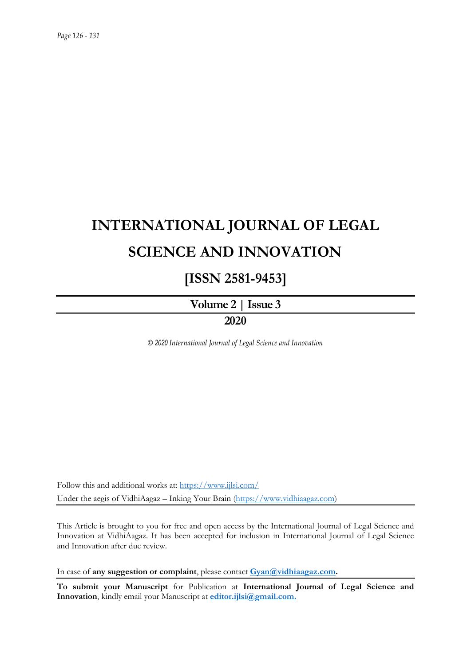# **INTERNATIONAL JOURNAL OF LEGAL SCIENCE AND INNOVATION**

## **[ISSN 2581-9453]**

**Volume 2 | Issue 3 2020**

*© 2020 International Journal of Legal Science and Innovation*

Follow this and additional works at:<https://www.ijlsi.com/> Under the aegis of VidhiAagaz – Inking Your Brain [\(https://www.vidhiaagaz.com\)](https://www.vidhiaagaz.com/)

This Article is brought to you for free and open access by the International Journal of Legal Science and Innovation at VidhiAagaz. It has been accepted for inclusion in International Journal of Legal Science and Innovation after due review.

In case of **any suggestion or complaint**, please contact **[Gyan@vidhiaagaz.com.](mailto:Gyan@vidhiaagaz.com)**

**To submit your Manuscript** for Publication at **International Journal of Legal Science and Innovation**, kindly email your Manuscript at **[editor.ijlsi@gmail.com.](mailto:editor.ijlsi@gmail.com)**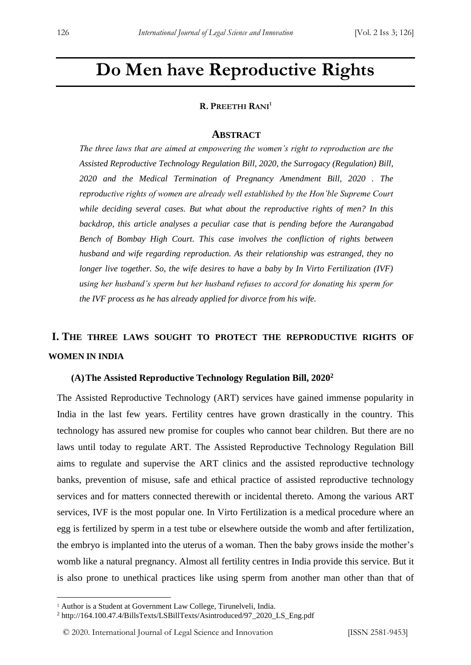## **Do Men have Reproductive Rights**

#### **R. PREETHI RANI<sup>1</sup>**

#### **ABSTRACT**

*The three laws that are aimed at empowering the women's right to reproduction are the Assisted Reproductive Technology Regulation Bill, 2020, the Surrogacy (Regulation) Bill, 2020 and the Medical Termination of Pregnancy Amendment Bill, 2020 . The reproductive rights of women are already well established by the Hon'ble Supreme Court while deciding several cases. But what about the reproductive rights of men? In this backdrop, this article analyses a peculiar case that is pending before the Aurangabad Bench of Bombay High Court. This case involves the confliction of rights between husband and wife regarding reproduction. As their relationship was estranged, they no longer live together. So, the wife desires to have a baby by In Virto Fertilization (IVF) using her husband's sperm but her husband refuses to accord for donating his sperm for the IVF process as he has already applied for divorce from his wife.*

### **I. THE THREE LAWS SOUGHT TO PROTECT THE REPRODUCTIVE RIGHTS OF WOMEN IN INDIA**

#### **(A)The Assisted Reproductive Technology Regulation Bill, 2020<sup>2</sup>**

The Assisted Reproductive Technology (ART) services have gained immense popularity in India in the last few years. Fertility centres have grown drastically in the country. This technology has assured new promise for couples who cannot bear children. But there are no laws until today to regulate ART. The Assisted Reproductive Technology Regulation Bill aims to regulate and supervise the ART clinics and the assisted reproductive technology banks, prevention of misuse, safe and ethical practice of assisted reproductive technology services and for matters connected therewith or incidental thereto. Among the various ART services, IVF is the most popular one. In Virto Fertilization is a medical procedure where an egg is fertilized by sperm in a test tube or elsewhere outside the womb and after fertilization, the embryo is implanted into the uterus of a woman. Then the baby grows inside the mother's womb like a natural pregnancy. Almost all fertility centres in India provide this service. But it is also prone to unethical practices like using sperm from another man other than that of

-

<sup>&</sup>lt;sup>1</sup> Author is a Student at Government Law College, Tirunelveli, India.

<sup>2</sup> http://164.100.47.4/BillsTexts/LSBillTexts/Asintroduced/97\_2020\_LS\_Eng.pdf

<sup>© 2020.</sup> International Journal of Legal Science and Innovation [ISSN 2581-9453]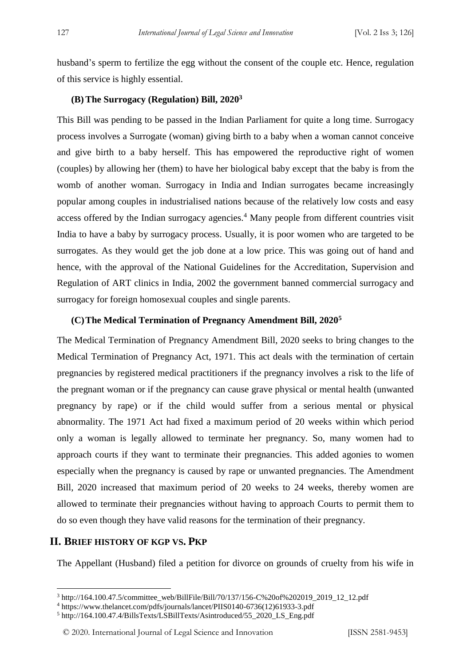husband's sperm to fertilize the egg without the consent of the couple etc. Hence, regulation of this service is highly essential.

#### **(B)The Surrogacy (Regulation) Bill, 2020<sup>3</sup>**

This Bill was pending to be passed in the Indian Parliament for quite a long time. Surrogacy process involves a Surrogate (woman) giving birth to a baby when a woman cannot conceive and give birth to a baby herself. This has empowered the reproductive right of women (couples) by allowing her (them) to have her biological baby except that the baby is from the womb of another woman. Surrogacy in India and Indian surrogates became increasingly popular among couples in industrialised nations because of the relatively low costs and easy access offered by the Indian surrogacy agencies.<sup>4</sup> Many people from different countries visit India to have a baby by surrogacy process. Usually, it is poor women who are targeted to be surrogates. As they would get the job done at a low price. This was going out of hand and hence, with the approval of the National Guidelines for the Accreditation, Supervision and Regulation of ART clinics in India, 2002 the government banned commercial surrogacy and surrogacy for foreign homosexual couples and single parents.

#### **(C)The Medical Termination of Pregnancy Amendment Bill, 2020<sup>5</sup>**

The Medical Termination of Pregnancy Amendment Bill, 2020 seeks to bring changes to the Medical Termination of Pregnancy Act, 1971. This act deals with the termination of certain pregnancies by registered medical practitioners if the pregnancy involves a risk to the life of the pregnant woman or if the pregnancy can cause grave physical or mental health (unwanted pregnancy by rape) or if the child would suffer from a serious mental or physical abnormality. The 1971 Act had fixed a maximum period of 20 weeks within which period only a woman is legally allowed to terminate her pregnancy. So, many women had to approach courts if they want to terminate their pregnancies. This added agonies to women especially when the pregnancy is caused by rape or unwanted pregnancies. The Amendment Bill, 2020 increased that maximum period of 20 weeks to 24 weeks, thereby women are allowed to terminate their pregnancies without having to approach Courts to permit them to do so even though they have valid reasons for the termination of their pregnancy.

#### **II. BRIEF HISTORY OF KGP VS. PKP**

<u>.</u>

The Appellant (Husband) filed a petition for divorce on grounds of cruelty from his wife in

<sup>3</sup> http://164.100.47.5/committee\_web/BillFile/Bill/70/137/156-C%20of%202019\_2019\_12\_12.pdf

<sup>4</sup> https://www.thelancet.com/pdfs/journals/lancet/PIIS0140-6736(12)61933-3.pdf

<sup>5</sup> http://164.100.47.4/BillsTexts/LSBillTexts/Asintroduced/55\_2020\_LS\_Eng.pdf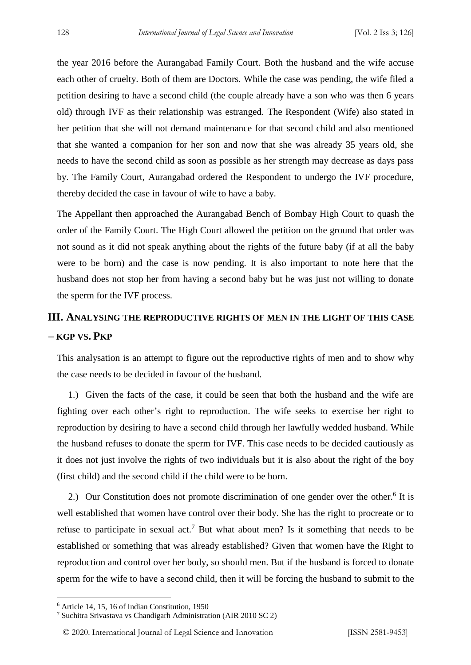the year 2016 before the Aurangabad Family Court. Both the husband and the wife accuse each other of cruelty. Both of them are Doctors. While the case was pending, the wife filed a petition desiring to have a second child (the couple already have a son who was then 6 years old) through IVF as their relationship was estranged. The Respondent (Wife) also stated in her petition that she will not demand maintenance for that second child and also mentioned that she wanted a companion for her son and now that she was already 35 years old, she needs to have the second child as soon as possible as her strength may decrease as days pass by. The Family Court, Aurangabad ordered the Respondent to undergo the IVF procedure, thereby decided the case in favour of wife to have a baby.

The Appellant then approached the Aurangabad Bench of Bombay High Court to quash the order of the Family Court. The High Court allowed the petition on the ground that order was not sound as it did not speak anything about the rights of the future baby (if at all the baby were to be born) and the case is now pending. It is also important to note here that the husband does not stop her from having a second baby but he was just not willing to donate the sperm for the IVF process.

### **III. ANALYSING THE REPRODUCTIVE RIGHTS OF MEN IN THE LIGHT OF THIS CASE – KGP VS. PKP**

This analysation is an attempt to figure out the reproductive rights of men and to show why the case needs to be decided in favour of the husband.

1.) Given the facts of the case, it could be seen that both the husband and the wife are fighting over each other's right to reproduction. The wife seeks to exercise her right to reproduction by desiring to have a second child through her lawfully wedded husband. While the husband refuses to donate the sperm for IVF. This case needs to be decided cautiously as it does not just involve the rights of two individuals but it is also about the right of the boy (first child) and the second child if the child were to be born.

2.) Our Constitution does not promote discrimination of one gender over the other.<sup>6</sup> It is well established that women have control over their body. She has the right to procreate or to refuse to participate in sexual act.<sup>7</sup> But what about men? Is it something that needs to be established or something that was already established? Given that women have the Right to reproduction and control over her body, so should men. But if the husband is forced to donate sperm for the wife to have a second child, then it will be forcing the husband to submit to the

<u>.</u>

<sup>6</sup> Article 14, 15, 16 of Indian Constitution, 1950

<sup>7</sup> Suchitra Srivastava vs Chandigarh Administration (AIR 2010 SC 2)

<sup>© 2020.</sup> International Journal of Legal Science and Innovation [ISSN 2581-9453]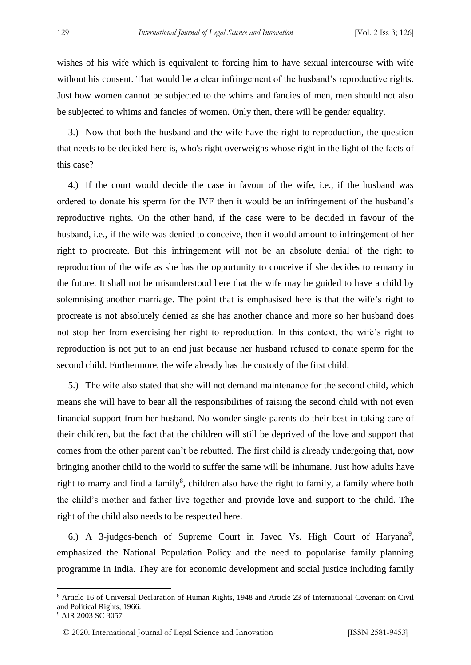wishes of his wife which is equivalent to forcing him to have sexual intercourse with wife without his consent. That would be a clear infringement of the husband's reproductive rights. Just how women cannot be subjected to the whims and fancies of men, men should not also be subjected to whims and fancies of women. Only then, there will be gender equality.

3.) Now that both the husband and the wife have the right to reproduction, the question that needs to be decided here is, who's right overweighs whose right in the light of the facts of this case?

4.) If the court would decide the case in favour of the wife, i.e., if the husband was ordered to donate his sperm for the IVF then it would be an infringement of the husband's reproductive rights. On the other hand, if the case were to be decided in favour of the husband, i.e., if the wife was denied to conceive, then it would amount to infringement of her right to procreate. But this infringement will not be an absolute denial of the right to reproduction of the wife as she has the opportunity to conceive if she decides to remarry in the future. It shall not be misunderstood here that the wife may be guided to have a child by solemnising another marriage. The point that is emphasised here is that the wife's right to procreate is not absolutely denied as she has another chance and more so her husband does not stop her from exercising her right to reproduction. In this context, the wife's right to reproduction is not put to an end just because her husband refused to donate sperm for the second child. Furthermore, the wife already has the custody of the first child.

5.) The wife also stated that she will not demand maintenance for the second child, which means she will have to bear all the responsibilities of raising the second child with not even financial support from her husband. No wonder single parents do their best in taking care of their children, but the fact that the children will still be deprived of the love and support that comes from the other parent can't be rebutted. The first child is already undergoing that, now bringing another child to the world to suffer the same will be inhumane. Just how adults have right to marry and find a family<sup>8</sup>, children also have the right to family, a family where both the child's mother and father live together and provide love and support to the child. The right of the child also needs to be respected here.

6.) A 3-judges-bench of Supreme Court in Javed Vs. High Court of Haryana<sup>9</sup>, emphasized the National Population Policy and the need to popularise family planning programme in India. They are for economic development and social justice including family

<u>.</u>

© 2020. International Journal of Legal Science and Innovation [ISSN 2581-9453]

<sup>8</sup> Article 16 of Universal Declaration of Human Rights, 1948 and Article 23 of International Covenant on Civil and Political Rights, 1966.

<sup>9</sup> AIR 2003 SC 3057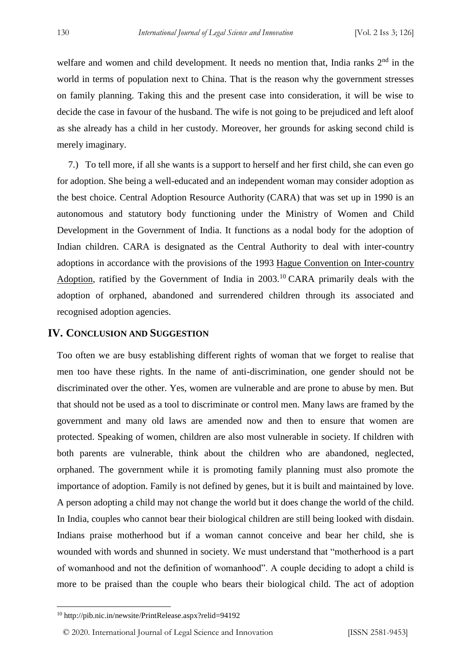welfare and women and child development. It needs no mention that, India ranks  $2<sup>nd</sup>$  in the world in terms of population next to China. That is the reason why the government stresses on family planning. Taking this and the present case into consideration, it will be wise to decide the case in favour of the husband. The wife is not going to be prejudiced and left aloof as she already has a child in her custody. Moreover, her grounds for asking second child is merely imaginary.

7.) To tell more, if all she wants is a support to herself and her first child, she can even go for adoption. She being a well-educated and an independent woman may consider adoption as the best choice. Central Adoption Resource Authority (CARA) that was set up in 1990 is an autonomous and statutory body functioning under the Ministry of Women and Child Development in the Government of India. It functions as a nodal body for the adoption of Indian children. CARA is designated as the Central Authority to deal with inter-country adoptions in accordance with the provisions of the 1993 [Hague Convention on Inter-country](https://en.wikipedia.org/wiki/Hague_Adoption_Convention)  [Adoption,](https://en.wikipedia.org/wiki/Hague_Adoption_Convention) ratified by the Government of India in  $2003$ .<sup>10</sup> CARA primarily deals with the adoption of orphaned, abandoned and surrendered children through its associated and recognised adoption agencies.

#### **IV. CONCLUSION AND SUGGESTION**

Too often we are busy establishing different rights of woman that we forget to realise that men too have these rights. In the name of anti-discrimination, one gender should not be discriminated over the other. Yes, women are vulnerable and are prone to abuse by men. But that should not be used as a tool to discriminate or control men. Many laws are framed by the government and many old laws are amended now and then to ensure that women are protected. Speaking of women, children are also most vulnerable in society. If children with both parents are vulnerable, think about the children who are abandoned, neglected, orphaned. The government while it is promoting family planning must also promote the importance of adoption. Family is not defined by genes, but it is built and maintained by love. A person adopting a child may not change the world but it does change the world of the child. In India, couples who cannot bear their biological children are still being looked with disdain. Indians praise motherhood but if a woman cannot conceive and bear her child, she is wounded with words and shunned in society. We must understand that "motherhood is a part of womanhood and not the definition of womanhood". A couple deciding to adopt a child is more to be praised than the couple who bears their biological child. The act of adoption

-

<sup>10</sup> http://pib.nic.in/newsite/PrintRelease.aspx?relid=94192

<sup>© 2020.</sup> International Journal of Legal Science and Innovation [ISSN 2581-9453]